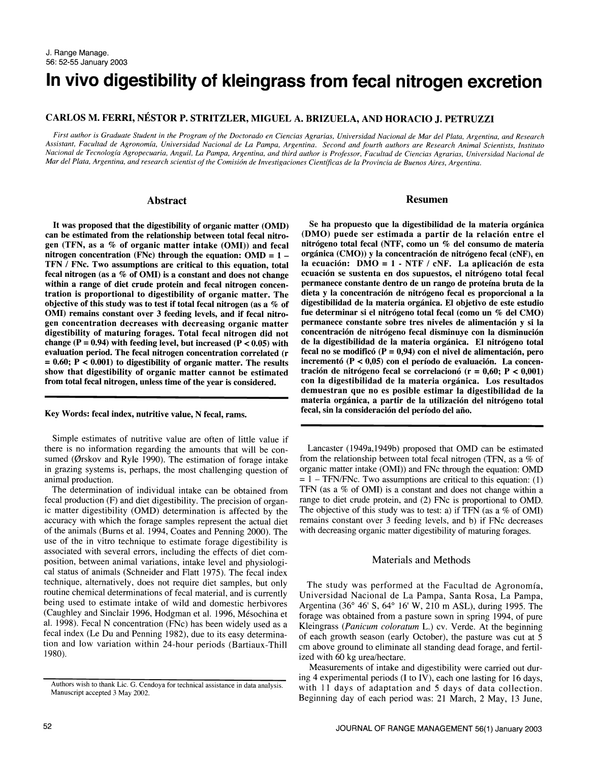# In vivo digestibility of kleingrass from fecal nitrogen excretion

## CARLOS M. FERRI, NESTOR P. STRITZLER, MIGUEL A. BRIZUELA, AND HORACIO J. PETRUZZI

First author is Graduate Student in the Program of the Doctorado en Ciencias Agrarias, Universidad Nacional de Mar del Plata, Argentina, and Research Assistant, Facultad de Agronomia, Universidad Nacional de La Pampa, Argentina. Second and fourth authors are Research Animal Scientists, Instituto Nacional de Tecnologia Agropecuaria, Anguil, La Pampa, Argentina, and third author is Professor, Facultad de Ciencias Agrarias, Universidad Nacional de Mar del Plata, Argentina, and research scientist of the Comision de Investigaciones Cientificas de la Provincia de Buenos Aires, Argentina.

#### Abstract

It was proposed that the digestibility of organic matter (OMD) can be estimated from the relationship between total fecal nitrogen (TFN, as a % of organic matter intake (OMI)) and fecal nitrógeno total fecal (NTF, como un % del consumo de materia<br>nitrogen concentration (FNc) through the equation: OMD = 1 – orgánica (CMO)) y la concentración de ni nitrogen concentration (FNc) through the equation:  $OMD = 1 -$ TFN / FNc. Two assumptions are critical to this equation, total fecal nitrogen (as a % of OMI) is a constant and does not change within a range of diet crude protein and fecal nitrogen concentration is proportional to digestibility of organic matter. The objective of this study was to test if total fecal nitrogen (as a % of OMI) remains constant over 3 feeding levels, and if fecal nitrogen concentration decreases with decreasing organic matter digestibility of maturing forages. Total fecal nitrogen did not change ( $P = 0.94$ ) with feeding level, but increased ( $P < 0.05$ ) with evaluation period. The fecal nitrogen concentration correlated (r  $= 0.60$ ; P < 0.001) to digestibility of organic matter. The results incrementó (P < 0.05) con el período de evaluación. La concension that digestibility of organic matter cannot be estimated tración de nitrógeno fecal se show that digestibility of organic matter cannot be estimated tración de nitrógeno fecal se correlacionó ( $r = 0.60$ ;  $P < 0.001$ ) from total fecal nitrogen, unless time of the vear is considered. con la digestibilidad de l from total fecal nitrogen, unless time of the year is considered.

Key Words: fecal index, nutritive value, N fecal, rams.

Simple estimates of nutritive value are often of little value if there is no information regarding the amounts that will be consumed (Ørskov and Ryle 1990). The estimation of forage intake in grazing systems is, perhaps, the most challenging question of animal production.

The determination of individual intake can be obtained from fecal production (F) and diet digestibility. The precision of organic matter digestibility (OMD) determination is affected by the accuracy with which the forage samples represent the actual diet of the animals (Burns et al. 1994, Coates and Penning 2000). The use of the in vitro technique to estimate forage digestibility is associated with several errors, including the effects of diet composition, between animal variations, intake level and physiological status of animals (Schneider and Flatt 1975). The fecal index technique, alternatively, does not require diet samples, but only routine chemical determinations of fecal material, and is currently being used to estimate intake of wild and domestic herbivores (Caughley and Sinclair 1996, Hodgman et al. 1996, Mésochina et al. 1998). Fecal N concentration (FNc) has been widely used as a fecal index (Le Du and Penning 1982), due to its easy determination and low variation within 24-hour periods (Bartiaux-Thill 1980).

Resumen

Se ha propuesto que la digestibilidad de la materia organica (DM0) puede ser estimada a partir de la relacion entre el nitrógeno total fecal (NTF, como un  $%$  del consumo de materia la ecuación:  $DMO = 1 - NTF / cNF$ . La aplicación de esta ecuación se sustenta en dos supuestos, el nitrógeno total fecal permanece constante dentro de un rango de proteina bruta de la dieta y la concentracion de nitrogeno fecal es proporcional a la digestibilidad de la materia organica. El objetivo de este estudio fue determinar si el nitrógeno total fecal (como un % del CMO) permanece constante sobre tres niveles de alimentacion y si la concentracion de nitrogeno fecal disminuye con la disminucion de la digestibilidad de la materia organica. El nitrogeno total fecal no se modificó ( $P = 0.94$ ) con el nivel de alimentación, pero incrementó ( $P < 0,05$ ) con el período de evaluación. La concendemuestran que no es posible estimar la digestibilidad de la materia orgánica, a partir de la utilización del nitrógeno total<br>fecal, sin la consideración del período del año.

Lancaster (1949a,1949b) proposed that OMD can be estimated from the relationship between total fecal nitrogen (TFN, as a % of organic matter intake (OMI)) and FNc through the equation: OMD  $=1 - \text{TFN/FNc}$ . Two assumptions are critical to this equation: (1) TFN (as a % of OMI) is a constant and does not change within a range to diet crude protein, and (2) FNc is proportional to OMD. The objective of this study was to test: a) if TFN (as a % of OMI) remains constant over 3 feeding levels, and b) if FNc decreases with decreasing organic matter digestibility of maturing forages.

#### Materials and Methods

The study was performed at the Facultad de Agronomia, Universidad Nacional de La Pampa, Santa Rosa, La Pampa, Argentina (36° 46' S, 64° 16' W, 210 m ASL), during 1995. The forage was obtained from a pasture sown in spring 1994, of pure Kleingrass (Panicum coloratum L.) cv. Verde. At the beginning of each growth season (early October), the pasture was cut at 5 cm above ground to eliminate all standing dead forage, and fertilized with 60 kg urea/hectare.

Measurements of intake and digestibility were carried out during 4 experimental periods (I to IV), each one lasting for 16 days, with 11 days of adaptation and 5 days of data collection. Beginning day of each period was: 21 March, 2 May, 13 June,

Authors wish to thank Lic. G. Cendoya for technical assistance in data analysis. Manuscript accepted 3 May 2002.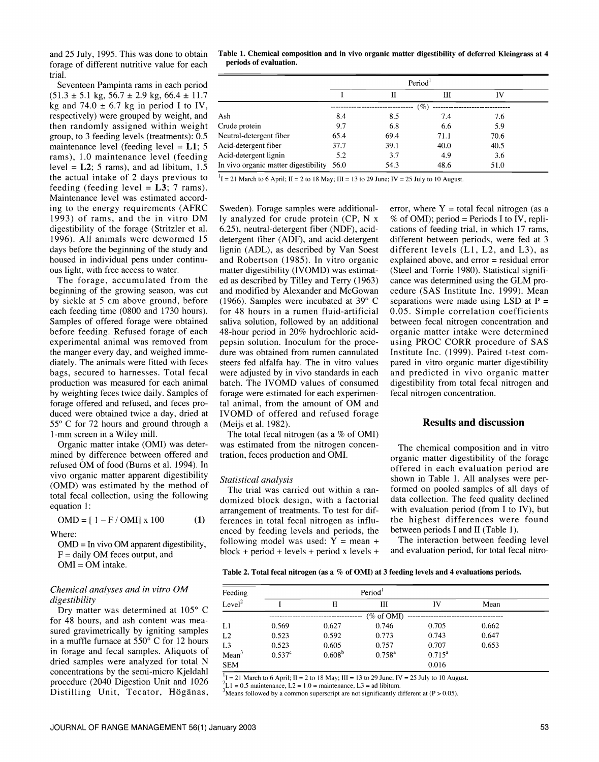and 25 July, 1995. This was done to obtain forage of different nutritive value for each trial.

Seventeen Pampinta rams in each period  $(51.3 \pm 5.1 \text{ kg}, 56.7 \pm 2.9 \text{ kg}, 66.4 \pm 11.7$ kg and 74.0  $\pm$  6.7 kg in period I to IV, respectively) were grouped by weight, and then randomly assigned within weight group, to 3 feeding levels (treatments): 0.5 maintenance level (feeding level  $= L1$ ; 5 rams), 1.0 maintenance level (feeding level =  $L2$ ; 5 rams), and ad libitum, 1.5 the actual intake of 2 days previous to feeding (feeding level =  $L3$ ; 7 rams). Maintenance level was estimated according to the energy requirements (AFRO 1993) of rams, and the in vitro DM digestibility of the forage (Stritzler et al. 1996). All animals were dewormed 15 days before the beginning of the study and housed in individual pens under continu ous light, with free access to water.

The forage, accumulated from the beginning of the growing season, was cut by sickle at 5 cm above ground, before each feeding time (0800 and 1730 hours). Samples of offered forage were obtained before feeding. Refused forage of each experimental animal was removed from the manger every day, and weighed immediately. The animals were fitted with feces steers fed alfalfa hay. The in vitro values bags, secured to harnesses. Total fecal production was measured for each animal by weighting feces twice daily. Samples of forage offered and refused, and feces produced were obtained twice a day, dried at 55° C for 72 hours and ground through a 1-mm screen in a Wiley mill.

Organic matter intake (OMI) was determined by difference between offered and refused OM of food (Burns et al. 1994). In vivo organic matter apparent digestibility (OMD) was estimated by the method of total fecal collection, using the following equation 1:

 $OMD = [1 - F / OMI] \times 100$ (1)

Where:

 $OMD = In$  vivo  $OM$  apparent digestibility,  $F = \text{daily OM feces output, and}$  $OMI = OM$  intake.

#### Chemical analyses and in vitro OM digestibility

Dry matter was determined at 105° C<br>for 48 hours, and ash content was measured gravimetrically by igniting samples in a muffle furnace at 550° C for 12 hours in forage and fecal samples. Aliquots of dried samples were analyzed for total N concentrations by the semi-micro Kjeldahl procedure (2040 Digestion Unit and 1026 Distilling Unit, Tecator, Högänas,

Table 1. Chemical composition and in vivo organic matter digestibility of deferred Kleingrass at 4 periods of evaluation.

|                                      | Period <sup>1</sup> |      |          |      |  |
|--------------------------------------|---------------------|------|----------|------|--|
|                                      |                     |      | Ш        | IV   |  |
|                                      |                     |      | $( \% )$ |      |  |
| Ash                                  | 8.4                 | 8.5  | 7.4      | 7.6  |  |
| Crude protein                        | 9.7                 | 6.8  | 6.6      | 5.9  |  |
| Neutral-detergent fiber              | 65.4                | 69.4 | 71.1     | 70.6 |  |
| Acid-detergent fiber                 | 37.7                | 39.1 | 40.0     | 40.5 |  |
| Acid-detergent lignin                | 5.2                 | 3.7  | 4.9      | 3.6  |  |
| In vivo organic matter digestibility | 56.0                | 54.3 | 48.6     | 51.0 |  |

 $1 = 21$  March to 6 April; II = 2 to 18 May; III = 13 to 29 June; IV = 25 July to 10 August.

Sweden). Forage samples were additionally analyzed for crude protein (CP, N x 6.25), neutral-detergent fiber (NDF), aciddetergent fiber (ADF), and acid-detergent lignin (ADL), as described by Van Soest different levels  $(L1, L2, and L3)$ , as and Robertson (1985). In vitro organic explained above, and error = residual error and Robertson (1985). In vitro organic explained above, and error = residual error matter digestibility (IVOMD) was estimat- (Steel and Torrie 1980). Statistical signifimatter digestibility (IVOMD) was estimated as described by Tilley and Terry (1963) cance was determined using the GLM proand modified by Alexander and McGowan cedure (SAS Institute Inc. 1999). Mean (1966). Samples were incubated at 39° C separations were made using LSD at P = (1966). Samples were incubated at 39° C for 48 hours in a rumen fluid-artificial saliva solution, followed by an additional 48-hour period in 20% hydrochloric acidpepsin solution. Inoculum for the procedure was obtained from rumen cannulated Institute Inc. (1999). Paired t-test comwere adjusted by in vivo standards in each batch. The IVOMD values of consumed forage were estimated for each experimental animal, from the amount of OM and IVOMD of offered and refused forage (Meijs et al. 1982).

The total fecal nitrogen (as a  $%$  of OMI) was estimated from the nitrogen concentration, feces production and OMI.

#### Statistical analysis

The trial was carried out within a ran domized block design, with a factorial arrangement of treatments. To test for differences in total fecal nitrogen as influenced by feeding levels and periods, the following model was used:  $Y = mean +$  $block + period + levels + period x levels +$ 

error, where  $Y =$  total fecal nitrogen (as a  $%$  of OMI); period = Periods I to IV, replications of feeding trial, in which 17 rams, different between periods, were fed at 3 different levels (L1, L2, and L3), as cedure (SAS Institute Inc. 1999). Mean 0.05. Simple correlation coefficients between fecal nitrogen concentration and organic matter intake were determined using PROC CORR procedure of SAS pared in vitro organic matter digestibility and predicted in vivo organic matter digestibility from total fecal nitrogen and fecal nitrogen concentration.

### Results and discussion

The chemical composition and in vitro organic matter digestibility of the forage offered in each evaluation period are shown in Table L All analyses were performed on pooled samples of all days of data collection. The feed quality declined with evaluation period (from I to IV), but the highest differences were found between periods I and II (Table 1).

The interaction between feeding level and evaluation period, for total fecal nitro-

Table 2. Total fecal nitrogen (as a % of OMI) at 3 feeding levels and 4 evaluations periods.

| Feeding            |                 |             |             |                 |       |  |
|--------------------|-----------------|-------------|-------------|-----------------|-------|--|
| Level <sup>2</sup> |                 | П           | Ш           | IV              | Mean  |  |
|                    |                 |             | (% of OMI)  |                 |       |  |
| Ll                 | 0.569           | 0.627       | 0.746       | 0.705           | 0.662 |  |
| L2                 | 0.523           | 0.592       | 0.773       | 0.743           | 0.647 |  |
| L <sub>3</sub>     | 0.523           | 0.605       | 0.757       | 0.707           | 0.653 |  |
| Mean <sup>3</sup>  | $0.537^{\circ}$ | $0.608^{b}$ | $0.758^{a}$ | $0.715^{\rm a}$ |       |  |
| <b>SEM</b>         |                 |             |             | 0.016           |       |  |

 $\frac{1}{1}$ I = 21 March to 6 April; II = 2 to 18 May; III = 13 to 29 June; IV = 25 July to 10 August.

 $L1 = 0.5$  maintenance,  $L2 = 1.0$  = maintenance,  $L3 =$  ad libitum.

 $3$ Means followed by a common superscript are not significantly different at (P > 0.05).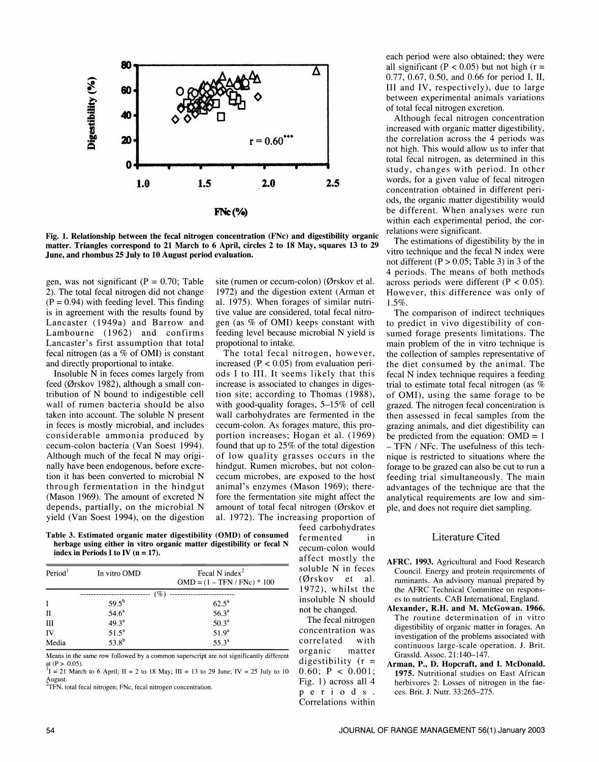

Fig. 1. Relationship between the fecal nitrogen concentration (FNc) and digestibility organic matter. Triangles correspond to 21 March to 6 April, circles 2 to 18 May, squares 13 to 29 The estimations of digestionity by the in-<br>Time and the fecal N index were June, and rhombus 25 July to 10 August period evaluation.

gen, was not significant ( $P = 0.70$ ; Table 2). The total fecal nitrogen did not change  $(P = 0.94)$  with feeding level. This finding is in agreement with the results found by Lancaster (1949a) and Barrow and Lambourne (1962) and confirms Lancaster's first assumption that total fecal nitrogen (as a  $%$  of OMI) is constant and directly proportional to intake.

Insoluble N in feces comes largely from feed (Ørskov 1982), although a small contribution of N bound to indigestible cell wall of rumen bacteria should be also taken into account. The soluble N present in feces is mostly microbial, and includes considerable ammonia produced by cecum-colon bacteria (Van Soest 1994). Although much of the fecal N may originally have been endogenous, before excrenally have been endogenous, before excre-<br>tion it has been converted to microbial N cecum microbes, are exposed to the host through fermentation in the hindgut (Mason 1969). The amount of excreted N depends, partially, on the microbial N yield (Van Soest 1994), on the digestion

site (rumen or cecum-colon) (Ørskov et al. 1972) and the digestion extent (Arman et al. 1975). When forages of similar nutritive value are considered, total fecal nitrogen (as % of OMI) keeps constant with feeding level because microbial N yield is propotional to intake.

The total fecal nitrogen, however, increased ( $P < 0.05$ ) from evaluation periods I to III. It seems likely that this increase is associated to changes in digestion site; according to Thomas (1988), with good-quality forages, 5–15% of cell wall carbohydrates are fermented in the cecum-colon. As forages mature, this proportion increases; Hogan et al. (1969) found that up to  $25\%$  of the total digestion  $-$  TFN / NFc. The usefulness of this techof low quality grasses occurs in the cecum microbes, are exposed to the host animal's enzymes (Mason 1969); therefore the fermentation site might affect the amount of total fecal nitrogen (Qrskov et al. 1972). The increasing proportion of

Table 3. Estimated organic mater digestibility (OMD) of consumed herbage using either in vitro organic matter digestibility or fecal N index in Periods I to IV  $(n = 17)$ .

| Period <sup>1</sup> | In vitro OMD      | Fecal N index <sup>2</sup><br>$OMD = (1 - TFN / FNc) * 100$ |
|---------------------|-------------------|-------------------------------------------------------------|
|                     | (%)               |                                                             |
| I                   | $59.5^{b}$        | $62.5^{\rm a}$                                              |
| $_{\rm II}$         | 54.6 <sup>a</sup> | $56.3^{a}$                                                  |
| Ш                   | $49.3^a$          | 50.3 <sup>a</sup>                                           |
| IV                  | $51.5^a$          | 51.9 <sup>a</sup>                                           |
| Media               | $53.8^{b}$        | $55.3^a$                                                    |

Means in the same row followed by a common superscript are not significantly different at  $(P > 0.05)$ .

<sup>1</sup>I = 21 March to 6 April; II = 2 to 18 May; III = 13 to 29 June; IV = 25 July to 10  $\frac{1}{2}$  August.

 $Z$ TFN, total fecal nitrogen; FNc, fecal nitrogen concentration.

fermented in cecum-colon would affect mostly the soluble N in feces (Qrskov et al. 1972), whilst the insoluble N should not be changed.

feed carbohydrates

The fecal nitrogen concentration was correlated with organic matter<br>digestibility  $(r =$ 0.60;  $P < 0.001$ ; Fig. 1) across all 4 p e r i o d s. Correlations within each period were also obtained; they were all significant ( $P < 0.05$ ) but not high ( $r =$ 0.77, 0.67, 0.50, and 0.66 for period I, II, III and IV, respectively), due to large between experimental animals variations of total fecal nitrogen excretion.

Although fecal nitrogen concentration increased with organic matter digestibility,<br>the correlation across the 4 periods was not high. This would allow us to infer that total fecal nitrogen, as determined in this study, changes with period. In other words, for a given value of fecal nitrogen concentration obtained in different periods, the organic matter digestibility would be different. When analyses were run within each experimental period, the correlations were significant.

The estimations of digestibility by the in not different (P > 0.05; Table 3) in 3 of the 4 periods. The means of both methods across periods were different ( $P < 0.05$ ). However, this difference was only of  $1.5\%$ 

The comparison of indirect techniques to predict in vivo digestibility of consumed forage presents limitations. The main problem of the in vitro technique is the collection of samples representative of the diet consumed by the animal. The fecal N index technique requires a feeding trial to estimate total fecal nitrogen (as % of OMI), using the same forage to be grazed. The nitrogen fecal concentration is then assessed in fecal samples from the grazing animals, and diet digestibility can be predicted from the equation:  $OMD = 1$ nique is restricted to situations where the forage to be grazed can also be cut to run a feeding trial simultaneously. The main advantages of the technique are that the analytical requirements are low and simple, and does not require diet sampling.

#### Literature Cited

- AFRC. 1993. Agricultural and Food Research Council. Energy and protein requirements of ruminants. An advisory manual prepared by the AFRC Technical Committee on responses to nutrients. CAB International, England.
- Alexander, R.H. and M. McGowan. 1966. The routine determination of in vitro digestibility of organic matter in forages. An investigation of the problems associated with continuous large-scale operation. J. Brit. Grassld. Assoc. 21:140-147.
- Arman, P., D. Hopcraft, and I. McDonald. 1975. Nutritional studies on East African herbivores 2: Losses of nitrogen in the fae ces. Brit. J. Nutr. 33:265-275.